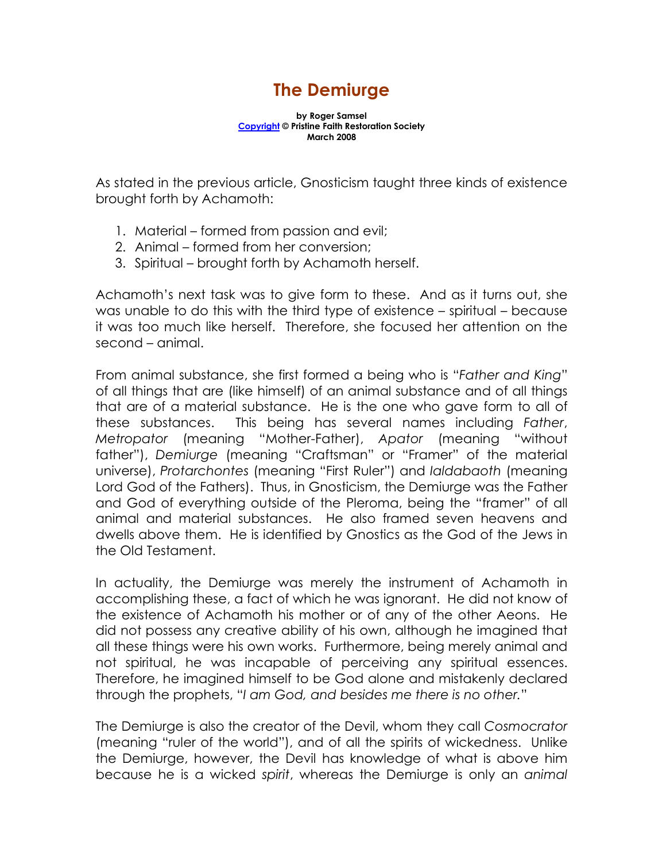## The Demiurge

by Roger Samsel Copyright © Pristine Faith Restoration Society March 2008

As stated in the previous article, Gnosticism taught three kinds of existence brought forth by Achamoth:

- 1. Material formed from passion and evil;
- 2. Animal formed from her conversion;
- 3. Spiritual brought forth by Achamoth herself.

Achamoth's next task was to give form to these. And as it turns out, she was unable to do this with the third type of existence – spiritual – because it was too much like herself. Therefore, she focused her attention on the second – animal.

From animal substance, she first formed a being who is "Father and King" of all things that are (like himself) of an animal substance and of all things that are of a material substance. He is the one who gave form to all of these substances. This being has several names including Father, Metropator (meaning "Mother-Father), Apator (meaning "without father"), Demiurge (meaning "Craftsman" or "Framer" of the material universe), Protarchontes (meaning "First Ruler") and Ialdabaoth (meaning Lord God of the Fathers). Thus, in Gnosticism, the Demiurge was the Father and God of everything outside of the Pleroma, being the "framer" of all animal and material substances. He also framed seven heavens and dwells above them. He is identified by Gnostics as the God of the Jews in the Old Testament.

In actuality, the Demiurge was merely the instrument of Achamoth in accomplishing these, a fact of which he was ignorant. He did not know of the existence of Achamoth his mother or of any of the other Aeons. He did not possess any creative ability of his own, although he imagined that all these things were his own works. Furthermore, being merely animal and not spiritual, he was incapable of perceiving any spiritual essences. Therefore, he imagined himself to be God alone and mistakenly declared through the prophets, "I am God, and besides me there is no other."

The Demiurge is also the creator of the Devil, whom they call Cosmocrator (meaning "ruler of the world"), and of all the spirits of wickedness. Unlike the Demiurge, however, the Devil has knowledge of what is above him because he is a wicked spirit, whereas the Demiurge is only an animal